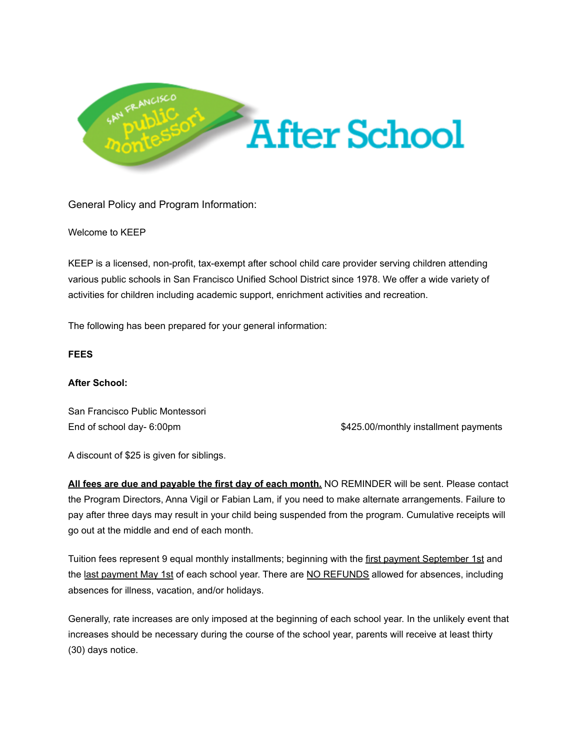

General Policy and Program Information:

### Welcome to KEEP

KEEP is a licensed, non-profit, tax-exempt after school child care provider serving children attending various public schools in San Francisco Unified School District since 1978. We offer a wide variety of activities for children including academic support, enrichment activities and recreation.

The following has been prepared for your general information:

### **FEES**

### **After School:**

San Francisco Public Montessori

End of school day- 6:00pm  $$425.00/m$ onthly installment payments

A discount of \$25 is given for siblings.

**All fees are due and payable the first day of each month.** NO REMINDER will be sent. Please contact the Program Directors, Anna Vigil or Fabian Lam, if you need to make alternate arrangements. Failure to pay after three days may result in your child being suspended from the program. Cumulative receipts will go out at the middle and end of each month.

Tuition fees represent 9 equal monthly installments; beginning with the first payment September 1st and the last payment May 1st of each school year. There are NO REFUNDS allowed for absences, including absences for illness, vacation, and/or holidays.

Generally, rate increases are only imposed at the beginning of each school year. In the unlikely event that increases should be necessary during the course of the school year, parents will receive at least thirty (30) days notice.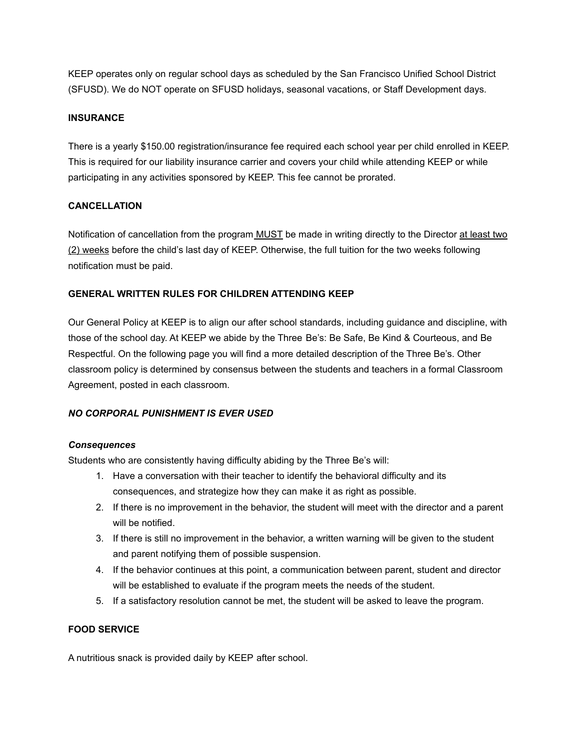KEEP operates only on regular school days as scheduled by the San Francisco Unified School District (SFUSD). We do NOT operate on SFUSD holidays, seasonal vacations, or Staff Development days.

## **INSURANCE**

There is a yearly \$150.00 registration/insurance fee required each school year per child enrolled in KEEP. This is required for our liability insurance carrier and covers your child while attending KEEP or while participating in any activities sponsored by KEEP. This fee cannot be prorated.

## **CANCELLATION**

Notification of cancellation from the program **MUST** be made in writing directly to the Director at least two (2) weeks before the child's last day of KEEP. Otherwise, the full tuition for the two weeks following notification must be paid.

## **GENERAL WRITTEN RULES FOR CHILDREN ATTENDING KEEP**

Our General Policy at KEEP is to align our after school standards, including guidance and discipline, with those of the school day. At KEEP we abide by the Three Be's: Be Safe, Be Kind & Courteous, and Be Respectful. On the following page you will find a more detailed description of the Three Be's. Other classroom policy is determined by consensus between the students and teachers in a formal Classroom Agreement, posted in each classroom.

### *NO CORPORAL PUNISHMENT IS EVER USED*

### *Consequences*

Students who are consistently having difficulty abiding by the Three Be's will:

- 1. Have a conversation with their teacher to identify the behavioral difficulty and its consequences, and strategize how they can make it as right as possible.
- 2. If there is no improvement in the behavior, the student will meet with the director and a parent will be notified.
- 3. If there is still no improvement in the behavior, a written warning will be given to the student and parent notifying them of possible suspension.
- 4. If the behavior continues at this point, a communication between parent, student and director will be established to evaluate if the program meets the needs of the student.
- 5. If a satisfactory resolution cannot be met, the student will be asked to leave the program.

### **FOOD SERVICE**

A nutritious snack is provided daily by KEEP after school.